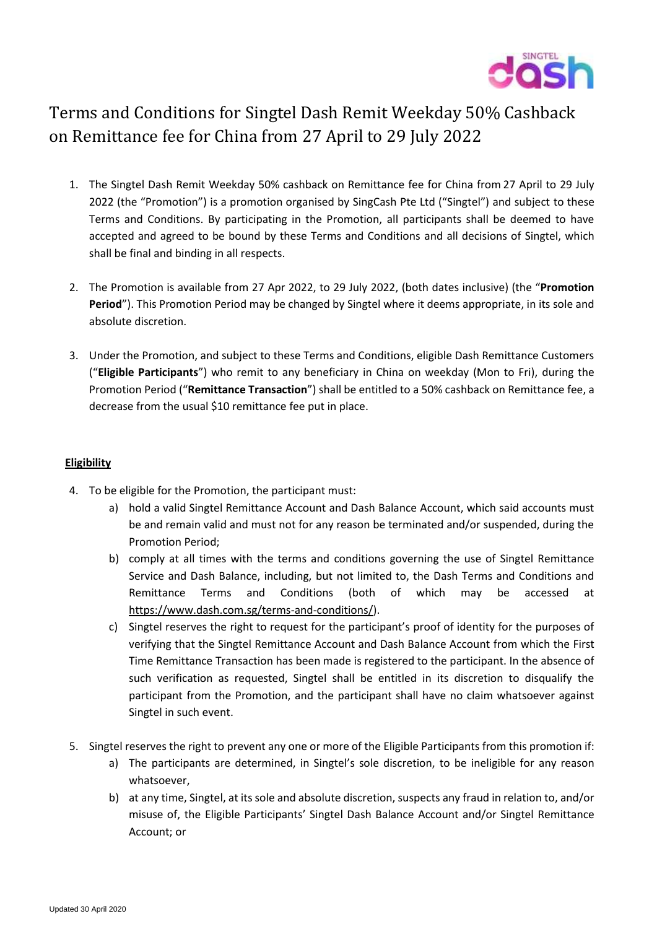

## Terms and Conditions for Singtel Dash Remit Weekday 50% Cashback on Remittance fee for China from 27 April to 29 July 2022

- 1. The Singtel Dash Remit Weekday 50% cashback on Remittance fee for China from 27 April to 29 July 2022 (the "Promotion") is a promotion organised by SingCash Pte Ltd ("Singtel") and subject to these Terms and Conditions. By participating in the Promotion, all participants shall be deemed to have accepted and agreed to be bound by these Terms and Conditions and all decisions of Singtel, which shall be final and binding in all respects.
- 2. The Promotion is available from 27 Apr 2022, to 29 July 2022, (both dates inclusive) (the "**Promotion Period**"). This Promotion Period may be changed by Singtel where it deems appropriate, in its sole and absolute discretion.
- 3. Under the Promotion, and subject to these Terms and Conditions, eligible Dash Remittance Customers ("**Eligible Participants**") who remit to any beneficiary in China on weekday (Mon to Fri), during the Promotion Period ("**Remittance Transaction**") shall be entitled to a 50% cashback on Remittance fee, a decrease from the usual \$10 remittance fee put in place.

## **Eligibility**

- 4. To be eligible for the Promotion, the participant must:
	- a) hold a valid Singtel Remittance Account and Dash Balance Account, which said accounts must be and remain valid and must not for any reason be terminated and/or suspended, during the Promotion Period;
	- b) comply at all times with the terms and conditions governing the use of Singtel Remittance Service and Dash Balance, including, but not limited to, the Dash Terms and Conditions and Remittance Terms and Conditions (both of which may be accessed at [https://www.dash.com.sg/terms-and-conditions/\)](https://www.dash.com.sg/terms-and-conditions/).
	- c) Singtel reserves the right to request for the participant's proof of identity for the purposes of verifying that the Singtel Remittance Account and Dash Balance Account from which the First Time Remittance Transaction has been made is registered to the participant. In the absence of such verification as requested, Singtel shall be entitled in its discretion to disqualify the participant from the Promotion, and the participant shall have no claim whatsoever against Singtel in such event.
- 5. Singtel reserves the right to prevent any one or more of the Eligible Participants from this promotion if:
	- a) The participants are determined, in Singtel's sole discretion, to be ineligible for any reason whatsoever,
	- b) at any time, Singtel, at its sole and absolute discretion, suspects any fraud in relation to, and/or misuse of, the Eligible Participants' Singtel Dash Balance Account and/or Singtel Remittance Account; or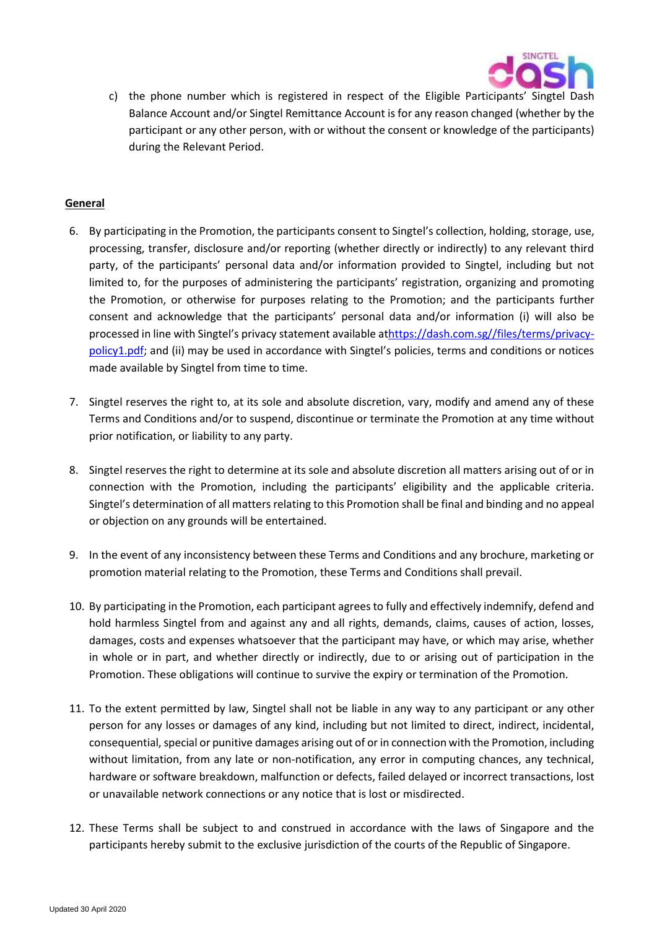

c) the phone number which is registered in respect of the Eligible Participants' Singtel Dash Balance Account and/or Singtel Remittance Account is for any reason changed (whether by the participant or any other person, with or without the consent or knowledge of the participants) during the Relevant Period.

## **General**

- 6. By participating in the Promotion, the participants consent to Singtel's collection, holding, storage, use, processing, transfer, disclosure and/or reporting (whether directly or indirectly) to any relevant third party, of the participants' personal data and/or information provided to Singtel, including but not limited to, for the purposes of administering the participants' registration, organizing and promoting the Promotion, or otherwise for purposes relating to the Promotion; and the participants further consent and acknowledge that the participants' personal data and/or information (i) will also be processed in line with Singtel's privacy statement available a[thttps://dash.com.sg//files/terms/privacy](https://dash.com.sg/files/terms/privacy-policy1.pdf)[policy1.pdf](https://dash.com.sg/files/terms/privacy-policy1.pdf); and (ii) may be used in accordance with Singtel's policies, terms and conditions or notices made available by Singtel from time to time.
- 7. Singtel reserves the right to, at its sole and absolute discretion, vary, modify and amend any of these Terms and Conditions and/or to suspend, discontinue or terminate the Promotion at any time without prior notification, or liability to any party.
- 8. Singtel reserves the right to determine at its sole and absolute discretion all matters arising out of or in connection with the Promotion, including the participants' eligibility and the applicable criteria. Singtel's determination of all matters relating to this Promotion shall be final and binding and no appeal or objection on any grounds will be entertained.
- 9. In the event of any inconsistency between these Terms and Conditions and any brochure, marketing or promotion material relating to the Promotion, these Terms and Conditions shall prevail.
- 10. By participating in the Promotion, each participant agrees to fully and effectively indemnify, defend and hold harmless Singtel from and against any and all rights, demands, claims, causes of action, losses, damages, costs and expenses whatsoever that the participant may have, or which may arise, whether in whole or in part, and whether directly or indirectly, due to or arising out of participation in the Promotion. These obligations will continue to survive the expiry or termination of the Promotion.
- 11. To the extent permitted by law, Singtel shall not be liable in any way to any participant or any other person for any losses or damages of any kind, including but not limited to direct, indirect, incidental, consequential, special or punitive damages arising out of or in connection with the Promotion, including without limitation, from any late or non-notification, any error in computing chances, any technical, hardware or software breakdown, malfunction or defects, failed delayed or incorrect transactions, lost or unavailable network connections or any notice that is lost or misdirected.
- 12. These Terms shall be subject to and construed in accordance with the laws of Singapore and the participants hereby submit to the exclusive jurisdiction of the courts of the Republic of Singapore.